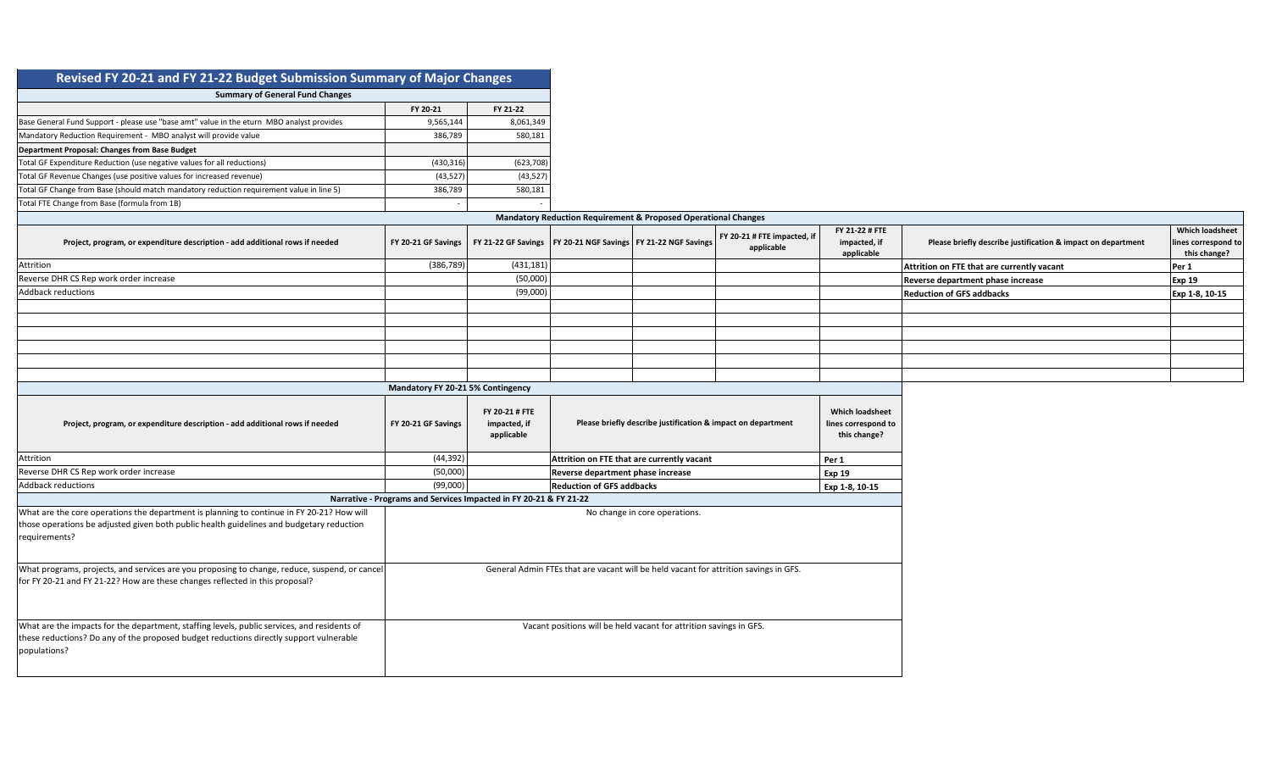| Revised FY 20-21 and FY 21-22 Budget Submission Summary of Major Changes                                                                                                                               |                                                                                      |                                              |                                                                           |  |                                           |                                                               |                                                              |                                                               |
|--------------------------------------------------------------------------------------------------------------------------------------------------------------------------------------------------------|--------------------------------------------------------------------------------------|----------------------------------------------|---------------------------------------------------------------------------|--|-------------------------------------------|---------------------------------------------------------------|--------------------------------------------------------------|---------------------------------------------------------------|
| <b>Summary of General Fund Changes</b>                                                                                                                                                                 |                                                                                      |                                              |                                                                           |  |                                           |                                                               |                                                              |                                                               |
|                                                                                                                                                                                                        | FY 20-21                                                                             | FY 21-22                                     |                                                                           |  |                                           |                                                               |                                                              |                                                               |
| Base General Fund Support - please use "base amt" value in the eturn MBO analyst provides                                                                                                              | 9,565,144                                                                            | 8,061,349                                    |                                                                           |  |                                           |                                                               |                                                              |                                                               |
| Mandatory Reduction Requirement - MBO analyst will provide value                                                                                                                                       | 386,789                                                                              | 580,181                                      |                                                                           |  |                                           |                                                               |                                                              |                                                               |
| Department Proposal: Changes from Base Budget                                                                                                                                                          |                                                                                      |                                              |                                                                           |  |                                           |                                                               |                                                              |                                                               |
| Total GF Expenditure Reduction (use negative values for all reductions)                                                                                                                                | (430, 316)                                                                           | (623, 708)                                   |                                                                           |  |                                           |                                                               |                                                              |                                                               |
| Total GF Revenue Changes (use positive values for increased revenue)                                                                                                                                   | (43, 527)                                                                            | (43, 527)                                    |                                                                           |  |                                           |                                                               |                                                              |                                                               |
| Total GF Change from Base (should match mandatory reduction requirement value in line 5)                                                                                                               | 386,789                                                                              | 580,181                                      |                                                                           |  |                                           |                                                               |                                                              |                                                               |
| Total FTE Change from Base (formula from 1B)                                                                                                                                                           |                                                                                      |                                              |                                                                           |  |                                           |                                                               |                                                              |                                                               |
|                                                                                                                                                                                                        |                                                                                      |                                              | <b>Mandatory Reduction Requirement &amp; Proposed Operational Changes</b> |  |                                           |                                                               |                                                              |                                                               |
| Project, program, or expenditure description - add additional rows if needed                                                                                                                           | FY 20-21 GF Savings                                                                  | FY 21-22 GF Savings                          | FY 20-21 NGF Savings   FY 21-22 NGF Savings                               |  | FY 20-21 # FTE impacted, if<br>applicable | FY 21-22 # FTE<br>impacted, if<br>applicable                  | Please briefly describe justification & impact on department | <b>Which loadsheet</b><br>lines correspond to<br>this change? |
| Attrition                                                                                                                                                                                              | (386, 789)                                                                           | (431, 181)                                   |                                                                           |  |                                           |                                                               | Attrition on FTE that are currently vacant                   | Per 1                                                         |
| Reverse DHR CS Rep work order increase                                                                                                                                                                 |                                                                                      | (50,000)                                     |                                                                           |  |                                           |                                                               | Reverse department phase increase                            | Exp 19                                                        |
| <b>Addback reductions</b>                                                                                                                                                                              |                                                                                      | (99,000)                                     |                                                                           |  |                                           |                                                               | <b>Reduction of GFS addbacks</b>                             | Exp 1-8, 10-15                                                |
|                                                                                                                                                                                                        |                                                                                      |                                              |                                                                           |  |                                           |                                                               |                                                              |                                                               |
|                                                                                                                                                                                                        |                                                                                      |                                              |                                                                           |  |                                           |                                                               |                                                              |                                                               |
|                                                                                                                                                                                                        |                                                                                      |                                              |                                                                           |  |                                           |                                                               |                                                              |                                                               |
|                                                                                                                                                                                                        |                                                                                      |                                              |                                                                           |  |                                           |                                                               |                                                              |                                                               |
|                                                                                                                                                                                                        |                                                                                      |                                              |                                                                           |  |                                           |                                                               |                                                              |                                                               |
|                                                                                                                                                                                                        |                                                                                      |                                              |                                                                           |  |                                           |                                                               |                                                              |                                                               |
|                                                                                                                                                                                                        | Mandatory FY 20-21 5% Contingency                                                    |                                              |                                                                           |  |                                           |                                                               |                                                              |                                                               |
| Project, program, or expenditure description - add additional rows if needed                                                                                                                           | FY 20-21 GF Savings                                                                  | FY 20-21 # FTE<br>impacted, if<br>applicable | Please briefly describe justification & impact on department              |  |                                           | <b>Which loadsheet</b><br>lines correspond to<br>this change? |                                                              |                                                               |
| Attrition                                                                                                                                                                                              | (44, 392)                                                                            |                                              | Attrition on FTE that are currently vacant                                |  |                                           | Per 1                                                         |                                                              |                                                               |
| Reverse DHR CS Rep work order increase                                                                                                                                                                 | (50,000)                                                                             |                                              | Reverse department phase increase                                         |  |                                           | <b>Exp 19</b>                                                 |                                                              |                                                               |
| <b>Addback reductions</b>                                                                                                                                                                              | (99,000)                                                                             |                                              | <b>Reduction of GFS addbacks</b>                                          |  |                                           | Exp 1-8, 10-15                                                |                                                              |                                                               |
|                                                                                                                                                                                                        | Narrative - Programs and Services Impacted in FY 20-21 & FY 21-22                    |                                              |                                                                           |  |                                           |                                                               |                                                              |                                                               |
| What are the core operations the department is planning to continue in FY 20-21? How will<br>those operations be adjusted given both public health guidelines and budgetary reduction<br>requirements? | No change in core operations.                                                        |                                              |                                                                           |  |                                           |                                                               |                                                              |                                                               |
| What programs, projects, and services are you proposing to change, reduce, suspend, or cancel<br>for FY 20-21 and FY 21-22? How are these changes reflected in this proposal?                          | General Admin FTEs that are vacant will be held vacant for attrition savings in GFS. |                                              |                                                                           |  |                                           |                                                               |                                                              |                                                               |
| What are the impacts for the department, staffing levels, public services, and residents of<br>these reductions? Do any of the proposed budget reductions directly support vulnerable<br>populations?  | Vacant positions will be held vacant for attrition savings in GFS.                   |                                              |                                                                           |  |                                           |                                                               |                                                              |                                                               |